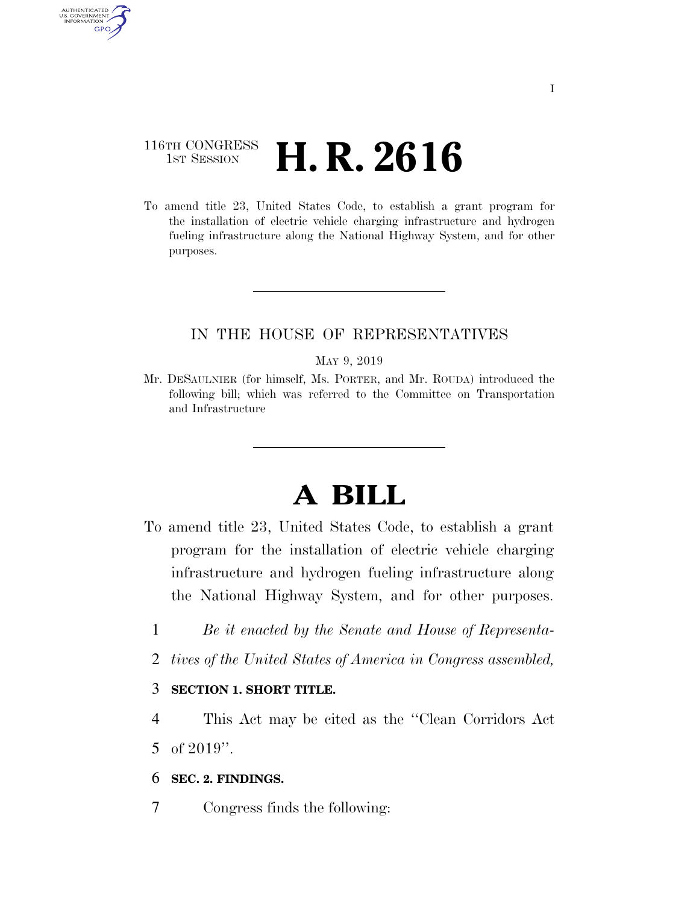# 116TH CONGRESS **1st Session H. R. 2616**

AUTHENTICATED U.S. GOVERNMENT GPO

> To amend title 23, United States Code, to establish a grant program for the installation of electric vehicle charging infrastructure and hydrogen fueling infrastructure along the National Highway System, and for other purposes.

## IN THE HOUSE OF REPRESENTATIVES

#### MAY 9, 2019

Mr. DESAULNIER (for himself, Ms. PORTER, and Mr. ROUDA) introduced the following bill; which was referred to the Committee on Transportation and Infrastructure

# **A BILL**

- To amend title 23, United States Code, to establish a grant program for the installation of electric vehicle charging infrastructure and hydrogen fueling infrastructure along the National Highway System, and for other purposes.
	- 1 *Be it enacted by the Senate and House of Representa-*
	- 2 *tives of the United States of America in Congress assembled,*

### 3 **SECTION 1. SHORT TITLE.**

- 4 This Act may be cited as the ''Clean Corridors Act 5 of 2019''.
- 6 **SEC. 2. FINDINGS.**
- 7 Congress finds the following: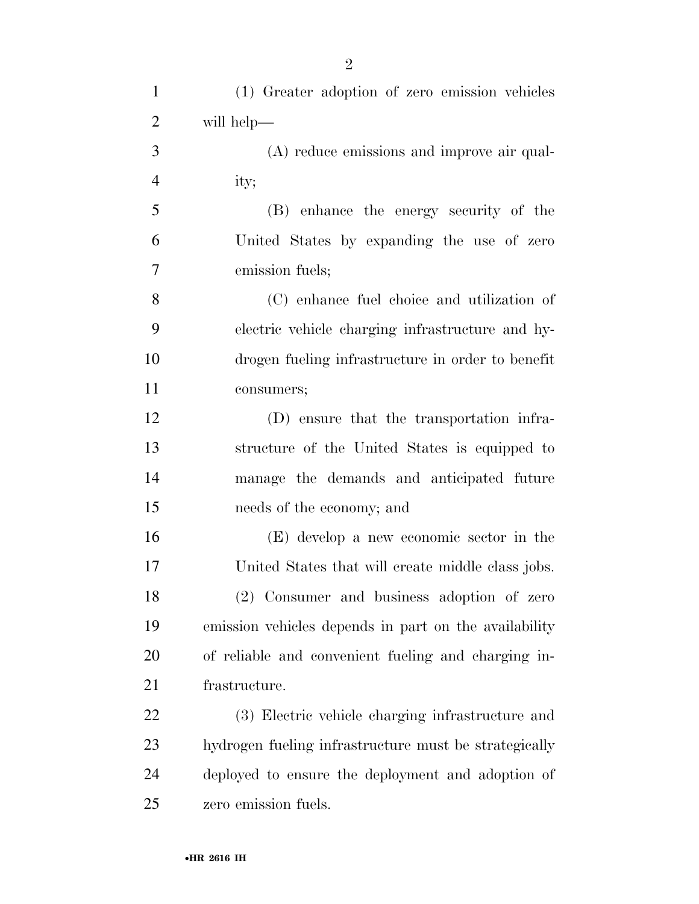| $\mathbf{1}$   | (1) Greater adoption of zero emission vehicles        |
|----------------|-------------------------------------------------------|
| $\overline{2}$ | will help—                                            |
| 3              | (A) reduce emissions and improve air qual-            |
| $\overline{4}$ | ity;                                                  |
| 5              | (B) enhance the energy security of the                |
| 6              | United States by expanding the use of zero            |
| 7              | emission fuels;                                       |
| 8              | (C) enhance fuel choice and utilization of            |
| 9              | electric vehicle charging infrastructure and hy-      |
| 10             | drogen fueling infrastructure in order to benefit     |
| 11             | consumers;                                            |
| 12             | (D) ensure that the transportation infra-             |
| 13             | structure of the United States is equipped to         |
| 14             | manage the demands and anticipated future             |
| 15             | needs of the economy; and                             |
| 16             | (E) develop a new economic sector in the              |
| 17             | United States that will create middle class jobs.     |
| 18             | (2) Consumer and business adoption of zero            |
| 19             | emission vehicles depends in part on the availability |
| 20             | of reliable and convenient fueling and charging in-   |
| 21             | frastructure.                                         |
| 22             | (3) Electric vehicle charging infrastructure and      |
| 23             | hydrogen fueling infrastructure must be strategically |
| 24             | deployed to ensure the deployment and adoption of     |
| 25             | zero emission fuels.                                  |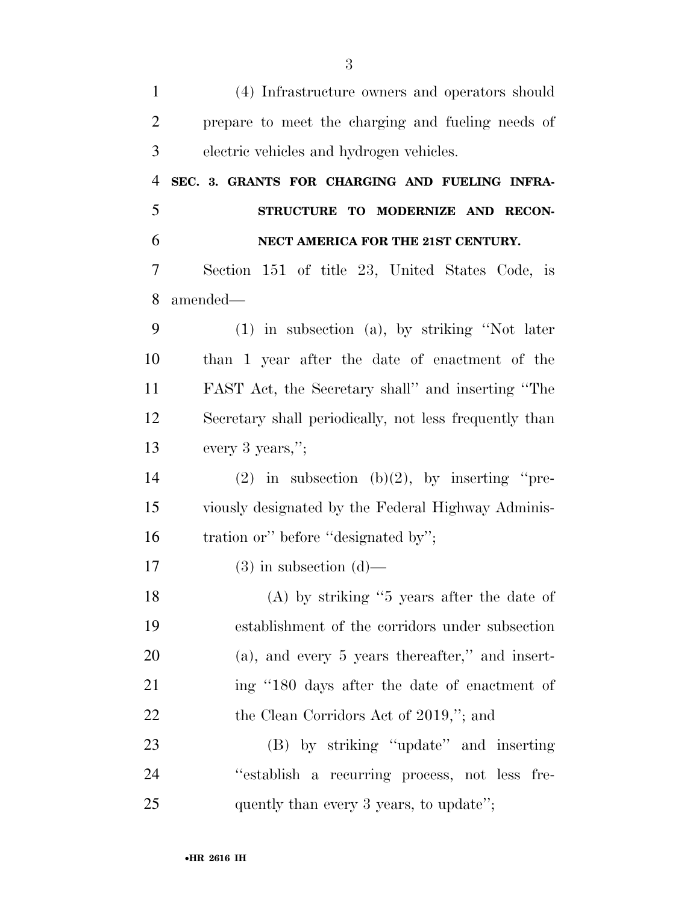| $\mathbf{1}$   | (4) Infrastructure owners and operators should         |
|----------------|--------------------------------------------------------|
| $\overline{2}$ | prepare to meet the charging and fueling needs of      |
| 3              | electric vehicles and hydrogen vehicles.               |
| $\overline{4}$ | SEC. 3. GRANTS FOR CHARGING AND FUELING INFRA-         |
| 5              | STRUCTURE TO MODERNIZE AND RECON-                      |
| 6              | NECT AMERICA FOR THE 21ST CENTURY.                     |
| 7              | Section 151 of title 23, United States Code, is        |
| 8              | amended—                                               |
| 9              | $(1)$ in subsection $(a)$ , by striking "Not later     |
| 10             | than 1 year after the date of enactment of the         |
| 11             | FAST Act, the Secretary shall" and inserting "The      |
| 12             | Secretary shall periodically, not less frequently than |
| 13             | every 3 years,";                                       |
| 14             | (2) in subsection (b)(2), by inserting "pre-           |
| 15             | viously designated by the Federal Highway Adminis-     |
| 16             | tration or" before "designated by";                    |
| 17             | $(3)$ in subsection $(d)$ —                            |
| 18             | $(A)$ by striking "5 years after the date of           |
| 19             | establishment of the corridors under subsection        |
| 20             | $(a)$ , and every 5 years thereafter," and insert-     |
| 21             | ing "180 days after the date of enactment of           |
| 22             | the Clean Corridors Act of 2019,"; and                 |
| 23             | (B) by striking "update" and inserting                 |
| 24             | "establish a recurring process, not less fre-          |
| 25             | quently than every 3 years, to update";                |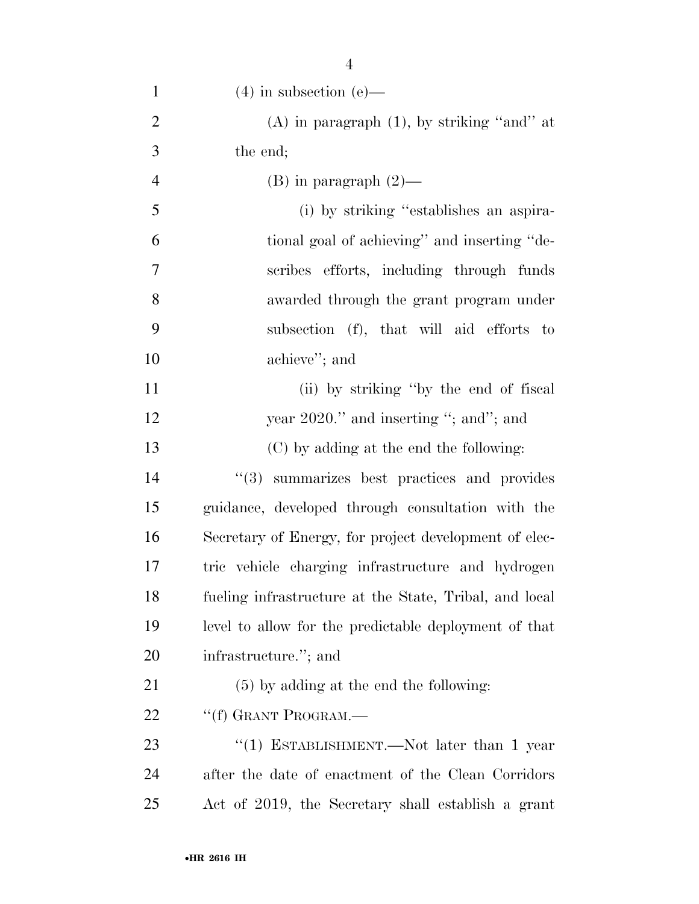| $\mathbf{1}$   | $(4)$ in subsection $(e)$ —                            |
|----------------|--------------------------------------------------------|
| $\overline{2}$ | (A) in paragraph $(1)$ , by striking "and" at          |
| 3              | the end;                                               |
| 4              | $(B)$ in paragraph $(2)$ —                             |
| 5              | (i) by striking "establishes an aspira-                |
| 6              | tional goal of achieving" and inserting "de-           |
| 7              | scribes efforts, including through funds               |
| 8              | awarded through the grant program under                |
| 9              | subsection (f), that will aid efforts to               |
| 10             | achieve"; and                                          |
| 11             | (ii) by striking "by the end of fiscal                 |
| 12             | year $2020$ ." and inserting "; and"; and              |
| 13             | (C) by adding at the end the following:                |
| 14             | "(3) summarizes best practices and provides            |
| 15             | guidance, developed through consultation with the      |
| 16             | Secretary of Energy, for project development of elec-  |
| 17             | tric vehicle charging infrastructure and hydrogen      |
| 18             | fueling infrastructure at the State, Tribal, and local |
| 19             | level to allow for the predictable deployment of that  |
| 20             | infrastructure."; and                                  |
| 21             | $(5)$ by adding at the end the following:              |
| 22             | "(f) GRANT PROGRAM.-                                   |
| 23             | "(1) ESTABLISHMENT.—Not later than 1 year              |
| 24             | after the date of enactment of the Clean Corridors     |
| 25             | Act of 2019, the Secretary shall establish a grant     |
|                |                                                        |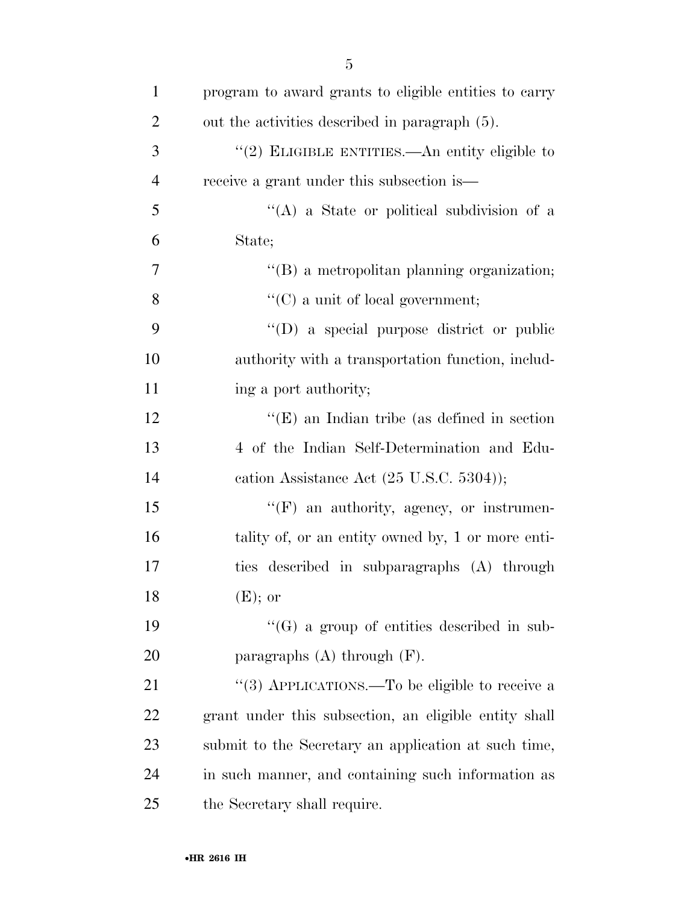| $\mathbf{1}$   | program to award grants to eligible entities to carry |
|----------------|-------------------------------------------------------|
| $\overline{2}$ | out the activities described in paragraph (5).        |
| 3              | "(2) ELIGIBLE ENTITIES.—An entity eligible to         |
| $\overline{4}$ | receive a grant under this subsection is—             |
| 5              | $\lq\lq$ (A) a State or political subdivision of a    |
| 6              | State;                                                |
| 7              | $\lq\lq (B)$ a metropolitan planning organization;    |
| 8              | "(C) a unit of local government;                      |
| 9              | "(D) a special purpose district or public             |
| 10             | authority with a transportation function, includ-     |
| 11             | ing a port authority;                                 |
| 12             | " $(E)$ an Indian tribe (as defined in section)"      |
| 13             | 4 of the Indian Self-Determination and Edu-           |
| 14             | cation Assistance Act $(25 \text{ U.S.C. } 5304)$ ;   |
| 15             | $\lq\lq(F)$ an authority, agency, or instrumen-       |
| 16             | tality of, or an entity owned by, 1 or more enti-     |
| 17             | ties described in subparagraphs (A) through           |
| 18             | $(E)$ ; or                                            |
| 19             | $\lq\lq(G)$ a group of entities described in sub-     |
| 20             | paragraphs $(A)$ through $(F)$ .                      |
| 21             | "(3) APPLICATIONS.—To be eligible to receive a        |
| 22             | grant under this subsection, an eligible entity shall |
| 23             | submit to the Secretary an application at such time,  |
| 24             | in such manner, and containing such information as    |
| 25             | the Secretary shall require.                          |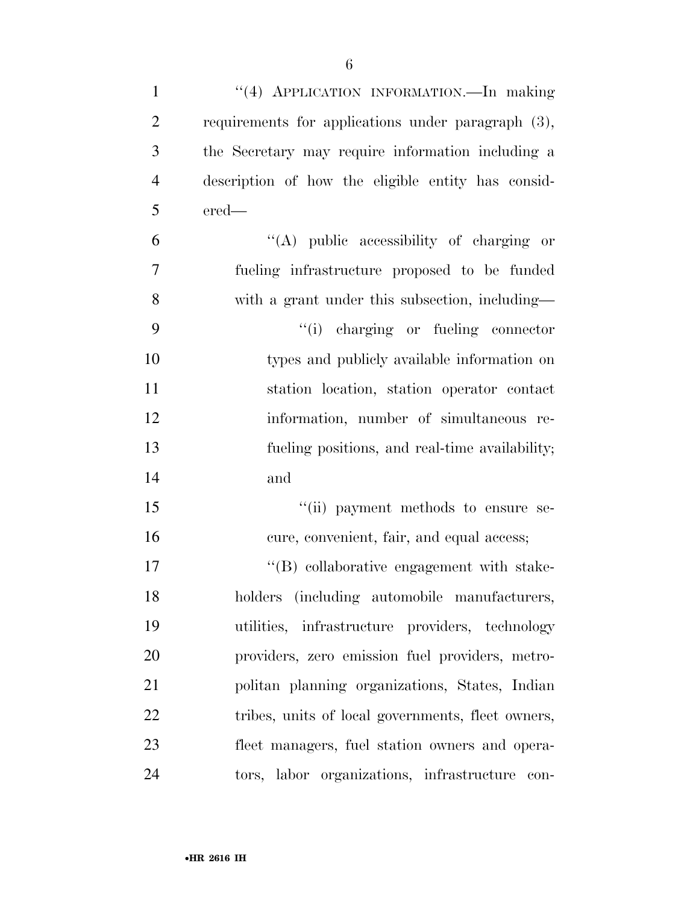| $\mathbf{1}$   | "(4) APPLICATION INFORMATION. In making            |
|----------------|----------------------------------------------------|
| $\overline{2}$ | requirements for applications under paragraph (3), |
| 3              | the Secretary may require information including a  |
| $\overline{4}$ | description of how the eligible entity has consid- |
| 5              | ered-                                              |
| 6              | $\lq\lq$ public accessibility of charging or       |
| 7              | fueling infrastructure proposed to be funded       |
| 8              | with a grant under this subsection, including—     |
| 9              | "(i) charging or fueling connector                 |
| 10             | types and publicly available information on        |
| 11             | station location, station operator contact         |
| 12             | information, number of simultaneous re-            |
| 13             | fueling positions, and real-time availability;     |
| 14             | and                                                |
| 15             | "(ii) payment methods to ensure se-                |
| 16             | cure, convenient, fair, and equal access;          |
| 17             | "(B) collaborative engagement with stake-          |
| 18             | holders (including automobile manufacturers,       |
| 19             | utilities, infrastructure providers, technology    |
| 20             | providers, zero emission fuel providers, metro-    |
| 21             | politan planning organizations, States, Indian     |
| 22             | tribes, units of local governments, fleet owners,  |
| 23             | fleet managers, fuel station owners and opera-     |
| 24             | tors, labor organizations, infrastructure con-     |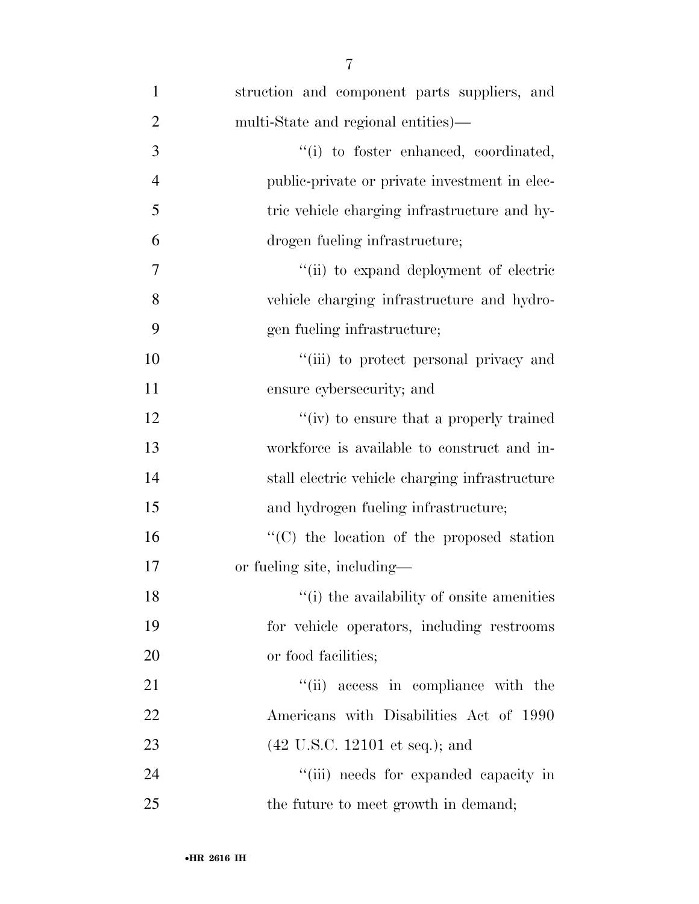| $\mathbf{1}$   | struction and component parts suppliers, and      |
|----------------|---------------------------------------------------|
| $\overline{2}$ | multi-State and regional entities)—               |
| 3              | "(i) to foster enhanced, coordinated,             |
| $\overline{4}$ | public-private or private investment in elec-     |
| 5              | tric vehicle charging infrastructure and hy-      |
| 6              | drogen fueling infrastructure;                    |
| 7              | "(ii) to expand deployment of electric            |
| 8              | vehicle charging infrastructure and hydro-        |
| 9              | gen fueling infrastructure;                       |
| 10             | "(iii) to protect personal privacy and            |
| 11             | ensure cybersecurity; and                         |
| 12             | "(iv) to ensure that a properly trained           |
| 13             | workforce is available to construct and in-       |
| 14             | stall electric vehicle charging infrastructure    |
| 15             | and hydrogen fueling infrastructure;              |
| 16             | $\cdot$ (C) the location of the proposed station  |
| 17             | or fueling site, including—                       |
| 18             | "(i) the availability of onsite amenities         |
| 19             | for vehicle operators, including restrooms        |
| 20             | or food facilities;                               |
| 21             | "(ii) access in compliance with the               |
| 22             | Americans with Disabilities Act of 1990           |
| 23             | $(42 \text{ U.S.C. } 12101 \text{ et seq.});$ and |
| 24             | "(iii) needs for expanded capacity in             |
| 25             | the future to meet growth in demand;              |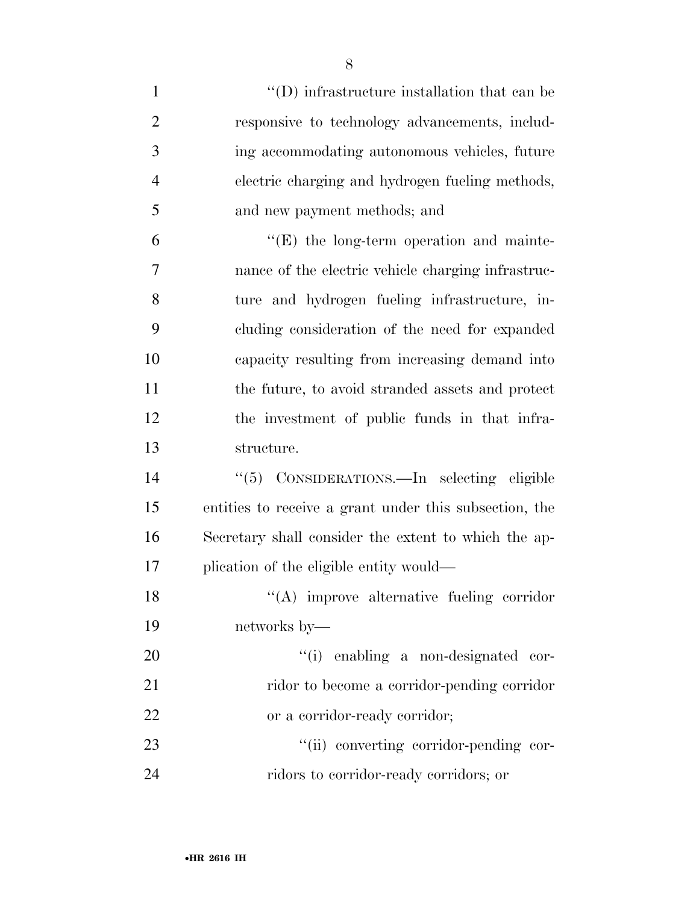| $\mathbf{1}$   | $\lq\lq$ (D) infrastructure installation that can be   |
|----------------|--------------------------------------------------------|
| $\overline{2}$ | responsive to technology advancements, includ-         |
| 3              | ing accommodating autonomous vehicles, future          |
| $\overline{4}$ | electric charging and hydrogen fueling methods,        |
| 5              | and new payment methods; and                           |
| 6              | $\lq\lq(E)$ the long-term operation and mainte-        |
| 7              | nance of the electric vehicle charging infrastruc-     |
| 8              | ture and hydrogen fueling infrastructure, in-          |
| 9              | cluding consideration of the need for expanded         |
| 10             | capacity resulting from increasing demand into         |
| 11             | the future, to avoid stranded assets and protect       |
| 12             | the investment of public funds in that infra-          |
| 13             | structure.                                             |
| 14             | "(5) CONSIDERATIONS.—In selecting eligible             |
| 15             | entities to receive a grant under this subsection, the |
| 16             | Secretary shall consider the extent to which the ap-   |
| 17             | plication of the eligible entity would—                |
| 18             | "(A) improve alternative fueling corridor              |
| 19             | networks by—                                           |
| 20             | "(i) enabling a non-designated cor-                    |
| 21             | ridor to become a corridor-pending corridor            |
| 22             | or a corridor-ready corridor;                          |
| 23             | "(ii) converting corridor-pending cor-                 |
| 24             | ridors to corridor-ready corridors; or                 |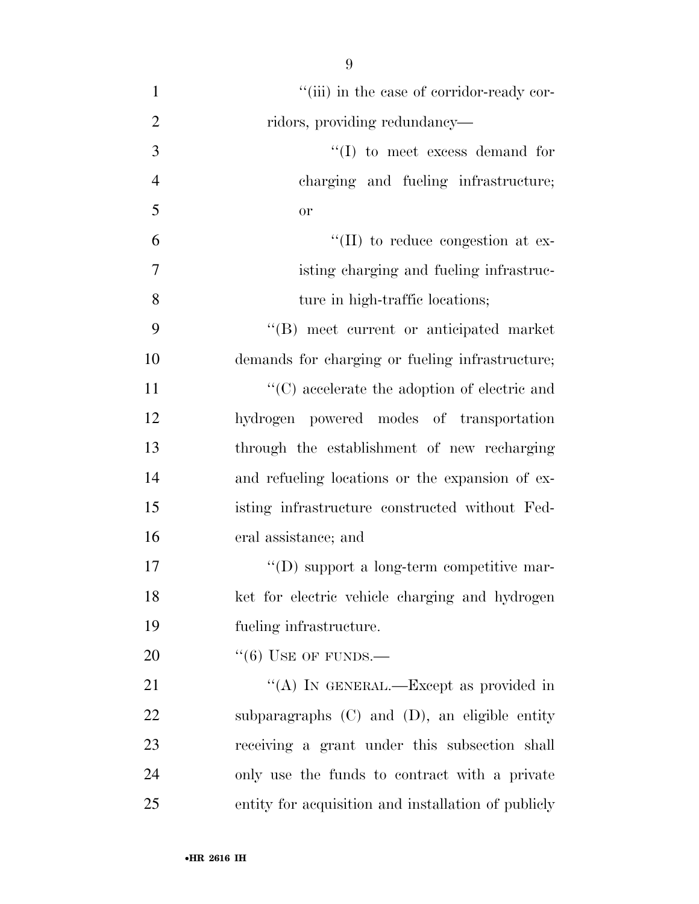$"$ (iii) in the case of corridor-ready cor-2 ridors, providing redundancy—  $\frac{1}{2}$  to meet excess demand for charging and fueling infrastructure; or  $\mathfrak{t}^{\prime}$  (II) to reduce congestion at ex- isting charging and fueling infrastruc-8 ture in high-traffic locations; ''(B) meet current or anticipated market demands for charging or fueling infrastructure;  $\cdot$  (C) accelerate the adoption of electric and hydrogen powered modes of transportation through the establishment of new recharging and refueling locations or the expansion of ex- isting infrastructure constructed without Fed- eral assistance; and  $\text{``(D) support a long-term competitive mar-}$  ket for electric vehicle charging and hydrogen fueling infrastructure.  $((6)$  USE OF FUNDS.— 21 "(A) IN GENERAL.—Except as provided in

 subparagraphs (C) and (D), an eligible entity receiving a grant under this subsection shall only use the funds to contract with a private entity for acquisition and installation of publicly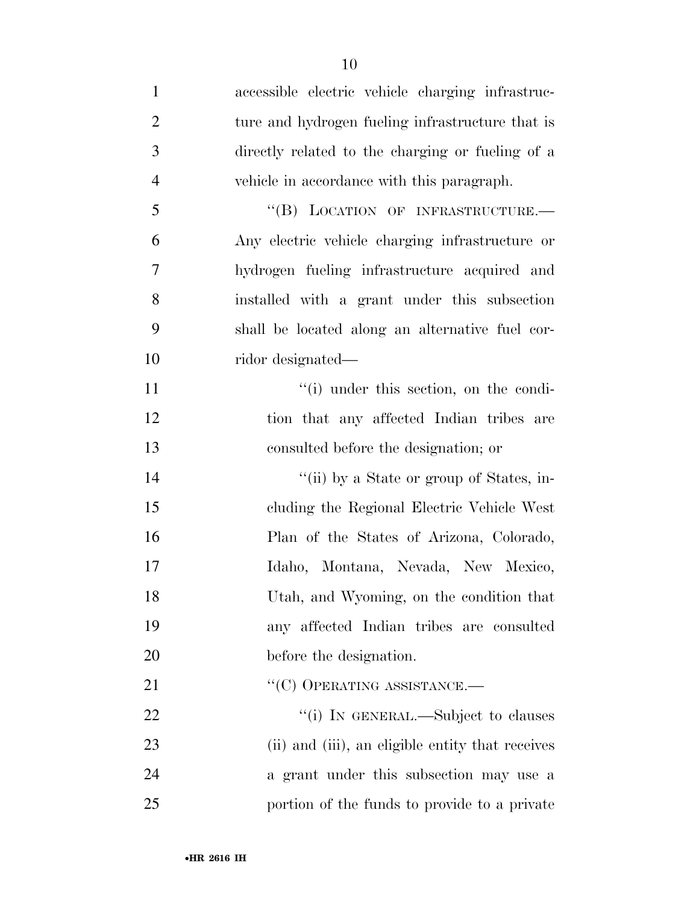accessible electric vehicle charging infrastruc-2 ture and hydrogen fueling infrastructure that is directly related to the charging or fueling of a vehicle in accordance with this paragraph. 5 "(B) LOCATION OF INFRASTRUCTURE. Any electric vehicle charging infrastructure or hydrogen fueling infrastructure acquired and installed with a grant under this subsection shall be located along an alternative fuel cor- ridor designated—  $\lq$  (i) under this section, on the condi-12 tion that any affected Indian tribes are consulted before the designation; or  $\frac{1}{\sin}$  by a State or group of States, in- cluding the Regional Electric Vehicle West Plan of the States of Arizona, Colorado, Idaho, Montana, Nevada, New Mexico, Utah, and Wyoming, on the condition that any affected Indian tribes are consulted before the designation. 21 ""(C) OPERATING ASSISTANCE.—  $\frac{1}{1}$  In GENERAL.—Subject to clauses (ii) and (iii), an eligible entity that receives a grant under this subsection may use a portion of the funds to provide to a private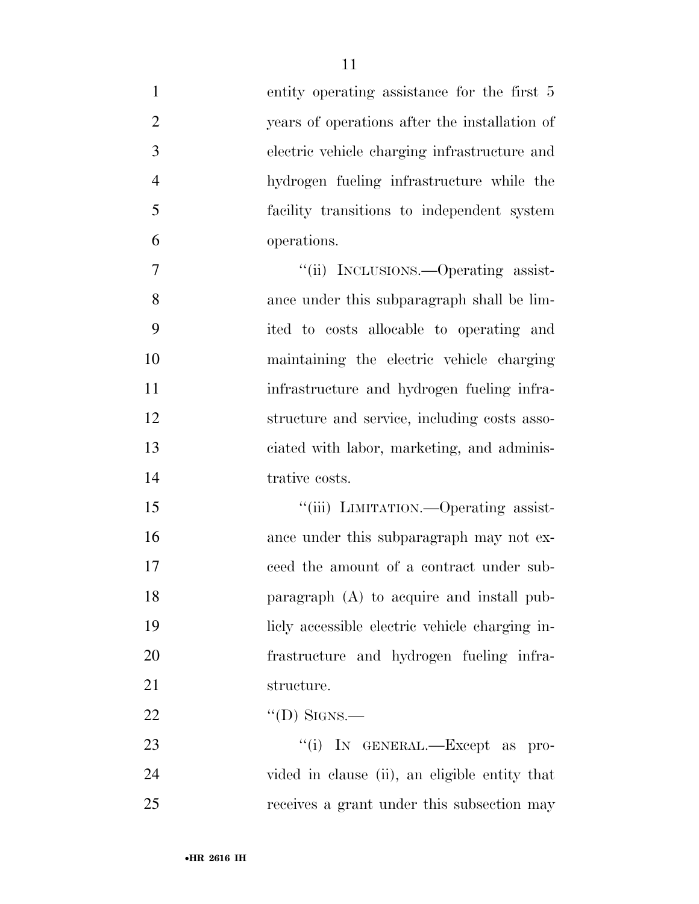| $\mathbf{1}$   | entity operating assistance for the first 5    |
|----------------|------------------------------------------------|
| $\mathbf{2}$   | years of operations after the installation of  |
| 3              | electric vehicle charging infrastructure and   |
| $\overline{4}$ | hydrogen fueling infrastructure while the      |
| 5              | facility transitions to independent system     |
| 6              | operations.                                    |
| 7              | "(ii) INCLUSIONS.—Operating assist-            |
| 8              | ance under this subparagraph shall be lim-     |
| 9              | ited to costs allocable to operating and       |
| 10             | maintaining the electric vehicle charging      |
| 11             | infrastructure and hydrogen fueling infra-     |
| 12             | structure and service, including costs asso-   |
| 13             | ciated with labor, marketing, and adminis-     |
| 14             | trative costs.                                 |
| 15             | "(iii) LIMITATION.—Operating assist-           |
| 16             | ance under this subparagraph may not ex-       |
| 17             | ceed the amount of a contract under sub-       |
| 18             | paragraph $(A)$ to acquire and install pub-    |
| 19             | licly accessible electric vehicle charging in- |
| 20             | frastructure and hydrogen fueling infra-       |
| 21             | structure.                                     |
| 22             | "(D) SIGNS.—                                   |
| 23             | "(i) IN GENERAL.—Except as pro-                |
| 24             | vided in clause (ii), an eligible entity that  |

receives a grant under this subsection may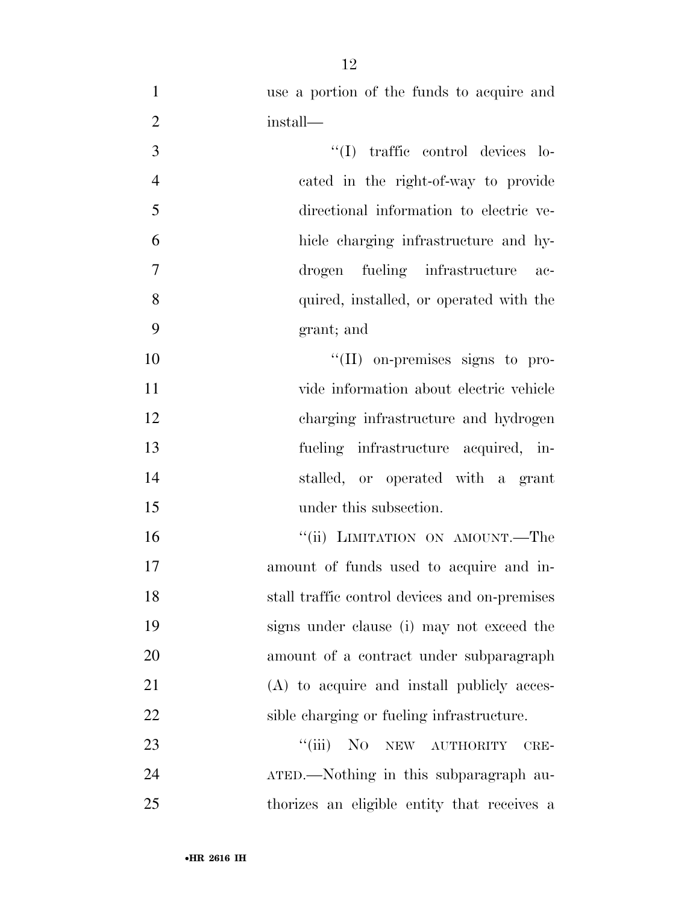| 1              | use a portion of the funds to acquire and     |
|----------------|-----------------------------------------------|
| $\mathbf{2}$   | install—                                      |
| 3              | "(I) traffic control devices lo-              |
| $\overline{4}$ | cated in the right-of-way to provide          |
| 5              | directional information to electric ve-       |
| 6              | hicle charging infrastructure and hy-         |
| $\tau$         | drogen fueling infrastructure<br>$ac-$        |
| 8              | quired, installed, or operated with the       |
| 9              | grant; and                                    |
| 10             | $\lq\lq$ (II) on-premises signs to pro-       |
| 11             | vide information about electric vehicle       |
| 12             | charging infrastructure and hydrogen          |
| 13             | fueling infrastructure acquired, in-          |
| 14             | stalled, or operated with a grant             |
| 15             | under this subsection.                        |
| 16             | "(ii) LIMITATION ON AMOUNT.—The               |
| 17             | amount of funds used to acquire and in-       |
| 18             | stall traffic control devices and on-premises |
| 19             | signs under clause (i) may not exceed the     |
| 20             | amount of a contract under subparagraph       |
| 21             | (A) to acquire and install publicly acces-    |
| 22             | sible charging or fueling infrastructure.     |
| 23             | "(iii) NO NEW AUTHORITY<br>CRE-               |
| 24             | ATED.—Nothing in this subparagraph au-        |
| 25             | thorizes an eligible entity that receives a   |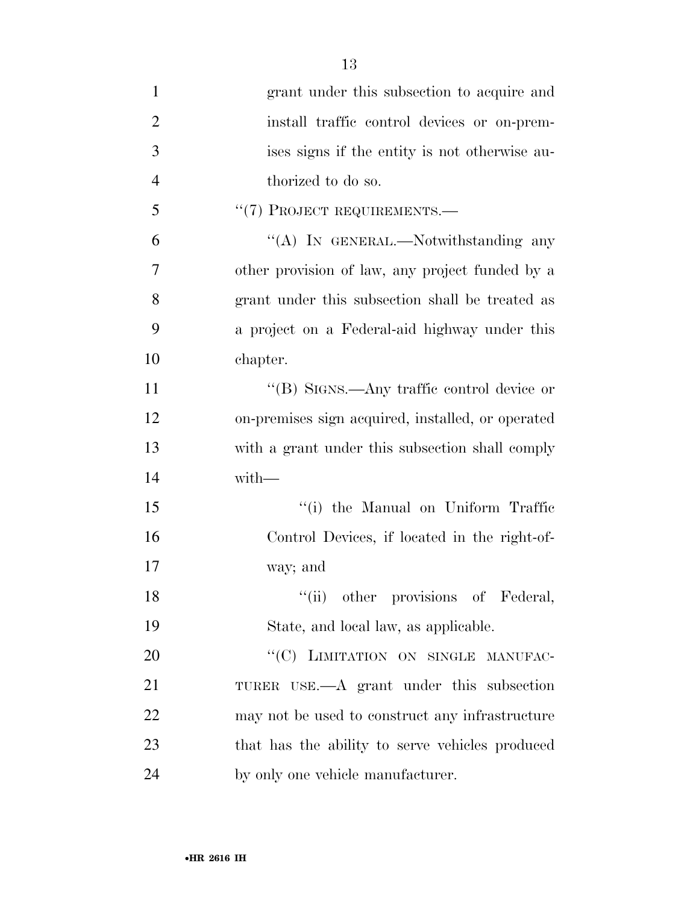| $\mathbf{1}$   | grant under this subsection to acquire and        |
|----------------|---------------------------------------------------|
| $\overline{2}$ | install traffic control devices or on-prem-       |
| 3              | ises signs if the entity is not otherwise au-     |
| $\overline{4}$ | thorized to do so.                                |
| 5              | "(7) PROJECT REQUIREMENTS.-                       |
| 6              | "(A) IN GENERAL.—Notwithstanding any              |
| $\overline{7}$ | other provision of law, any project funded by a   |
| 8              | grant under this subsection shall be treated as   |
| 9              | a project on a Federal-aid highway under this     |
| 10             | chapter.                                          |
| 11             | "(B) SIGNS.—Any traffic control device or         |
| 12             | on-premises sign acquired, installed, or operated |
| 13             | with a grant under this subsection shall comply   |
| 14             | with-                                             |
| 15             | "(i) the Manual on Uniform Traffic                |
| 16             | Control Devices, if located in the right-of-      |
| 17             | way; and                                          |
| 18             | "(ii) other provisions of Federal,                |
| 19             | State, and local law, as applicable.              |
| 20             | "(C) LIMITATION ON SINGLE MANUFAC-                |
| 21             | TURER USE.—A grant under this subsection          |
| 22             | may not be used to construct any infrastructure   |
| 23             | that has the ability to serve vehicles produced   |
| 24             | by only one vehicle manufacturer.                 |